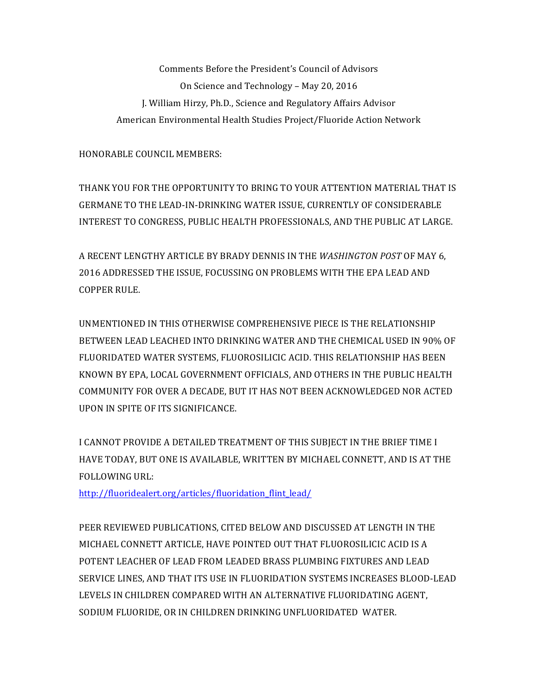Comments Before the President's Council of Advisors On Science and Technology - May 20, 2016 J. William Hirzy, Ph.D., Science and Regulatory Affairs Advisor American Environmental Health Studies Project/Fluoride Action Network

HONORABLE COUNCIL MEMBERS:

THANK YOU FOR THE OPPORTUNITY TO BRING TO YOUR ATTENTION MATERIAL THAT IS GERMANE TO THE LEAD-IN-DRINKING WATER ISSUE, CURRENTLY OF CONSIDERABLE INTEREST TO CONGRESS, PUBLIC HEALTH PROFESSIONALS, AND THE PUBLIC AT LARGE.

A RECENT LENGTHY ARTICLE BY BRADY DENNIS IN THE WASHINGTON POST OF MAY 6, 2016 ADDRESSED THE ISSUE, FOCUSSING ON PROBLEMS WITH THE EPA LEAD AND COPPER RULE.

UNMENTIONED IN THIS OTHERWISE COMPREHENSIVE PIECE IS THE RELATIONSHIP BETWEEN LEAD LEACHED INTO DRINKING WATER AND THE CHEMICAL USED IN 90% OF FLUORIDATED WATER SYSTEMS, FLUOROSILICIC ACID. THIS RELATIONSHIP HAS BEEN KNOWN BY EPA, LOCAL GOVERNMENT OFFICIALS, AND OTHERS IN THE PUBLIC HEALTH COMMUNITY FOR OVER A DECADE, BUT IT HAS NOT BEEN ACKNOWLEDGED NOR ACTED UPON IN SPITE OF ITS SIGNIFICANCE.

I CANNOT PROVIDE A DETAILED TREATMENT OF THIS SUBJECT IN THE BRIEF TIME I HAVE TODAY, BUT ONE IS AVAILABLE, WRITTEN BY MICHAEL CONNETT, AND IS AT THE FOLLOWING URL:

http://fluoridealert.org/articles/fluoridation\_flint\_lead/

PEER REVIEWED PUBLICATIONS, CITED BELOW AND DISCUSSED AT LENGTH IN THE MICHAEL CONNETT ARTICLE, HAVE POINTED OUT THAT FLUOROSILICIC ACID IS A POTENT LEACHER OF LEAD FROM LEADED BRASS PLUMBING FIXTURES AND LEAD SERVICE LINES, AND THAT ITS USE IN FLUORIDATION SYSTEMS INCREASES BLOOD-LEAD LEVELS IN CHILDREN COMPARED WITH AN ALTERNATIVE FLUORIDATING AGENT. SODIUM FLUORIDE, OR IN CHILDREN DRINKING UNFLUORIDATED WATER.